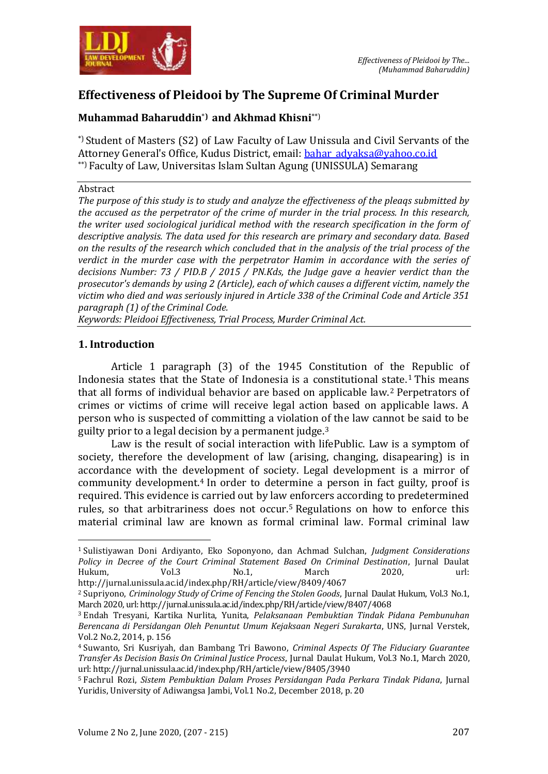

# **Effectiveness of Pleidooi by The Supreme Of Criminal Murder**

## **Muhammad Baharuddin**\***) and Akhmad Khisni**\*\*)

\*)Student of Masters (S2) of Law Faculty of Law Unissula and Civil Servants of the Attorney General's Office, Kudus District, email: bahar advaksa@yahoo.co.id \*\*) Faculty of Law, Universitas Islam Sultan Agung (UNISSULA) Semarang

#### Abstract

*The purpose of this study is to study and analyze the effectiveness of the pleaqs submitted by the accused as the perpetrator of the crime of murder in the trial process. In this research, the writer used sociological juridical method with the research specification in the form of descriptive analysis. The data used for this research are primary and secondary data. Based on the results of the research which concluded that in the analysis of the trial process of the verdict in the murder case with the perpetrator Hamim in accordance with the series of decisions Number: 73 / PID.B / 2015 / PN.Kds, the Judge gave a heavier verdict than the prosecutor's demands by using 2 (Article), each of which causes a different victim, namely the victim who died and was seriously injured in Article 338 of the Criminal Code and Article 351 paragraph (1) of the Criminal Code.*

*Keywords: Pleidooi Effectiveness, Trial Process, Murder Criminal Act.*

### **1. Introduction**

 $\overline{a}$ 

Article 1 paragraph (3) of the 1945 Constitution of the Republic of Indonesia states that the State of Indonesia is a constitutional state.<sup>1</sup> This means that all forms of individual behavior are based on applicable law.<sup>2</sup> Perpetrators of crimes or victims of crime will receive legal action based on applicable laws. A person who is suspected of committing a violation of the law cannot be said to be guilty prior to a legal decision by a permanent judge.<sup>3</sup>

Law is the result of social interaction with lifePublic. Law is a symptom of society, therefore the development of law (arising, changing, disapearing) is in accordance with the development of society. Legal development is a mirror of community development.<sup>4</sup> In order to determine a person in fact guilty, proof is required. This evidence is carried out by law enforcers according to predetermined rules, so that arbitrariness does not occur.<sup>5</sup> Regulations on how to enforce this material criminal law are known as formal criminal law. Formal criminal law

<sup>1</sup> Sulistiyawan Doni Ardiyanto, Eko Soponyono, dan Achmad Sulchan, *Judgment Considerations Policy in Decree of the Court Criminal Statement Based On Criminal Destination*, Jurnal Daulat Hukum, Vol.3 No.1, March 2020, url: http://jurnal.unissula.ac.id/index.php/RH/article/view/8409/4067

<sup>2</sup> Supriyono, *Criminology Study of Crime of Fencing the Stolen Goods*, Jurnal Daulat Hukum, Vol.3 No.1, March 2020, url: http://jurnal.unissula.ac.id/index.php/RH/article/view/8407/4068

<sup>3</sup> Endah Tresyani, Kartika Nurlita, Yunita, *Pelaksanaan Pembuktian Tindak Pidana Pembunuhan Berencana di Persidangan Oleh Penuntut Umum Kejaksaan Negeri Surakarta*, UNS, Jurnal Verstek, Vol.2 No.2, 2014, p. 156

<sup>4</sup> Suwanto, Sri Kusriyah, dan Bambang Tri Bawono, *Criminal Aspects Of The Fiduciary Guarantee Transfer As Decision Basis On Criminal Justice Process*, Jurnal Daulat Hukum, Vol.3 No.1, March 2020, url: http://jurnal.unissula.ac.id/index.php/RH/article/view/8405/3940

<sup>5</sup> Fachrul Rozi, *Sistem Pembuktian Dalam Proses Persidangan Pada Perkara Tindak Pidana*, Jurnal Yuridis, University of Adiwangsa Jambi, Vol.1 No.2, December 2018, p. 20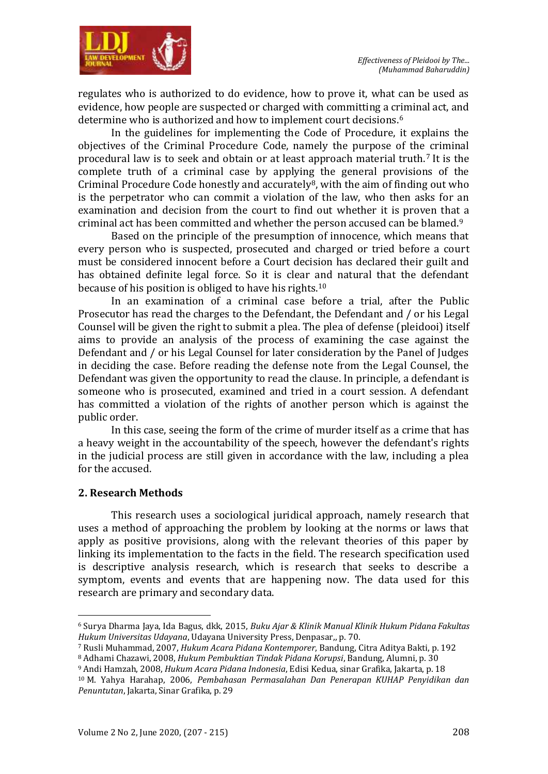

regulates who is authorized to do evidence, how to prove it, what can be used as evidence, how people are suspected or charged with committing a criminal act, and determine who is authorized and how to implement court decisions.<sup>6</sup>

In the guidelines for implementing the Code of Procedure, it explains the objectives of the Criminal Procedure Code, namely the purpose of the criminal procedural law is to seek and obtain or at least approach material truth.<sup>7</sup> It is the complete truth of a criminal case by applying the general provisions of the Criminal Procedure Code honestly and accurately8, with the aim of finding out who is the perpetrator who can commit a violation of the law, who then asks for an examination and decision from the court to find out whether it is proven that a criminal act has been committed and whether the person accused can be blamed.<sup>9</sup>

Based on the principle of the presumption of innocence, which means that every person who is suspected, prosecuted and charged or tried before a court must be considered innocent before a Court decision has declared their guilt and has obtained definite legal force. So it is clear and natural that the defendant because of his position is obliged to have his rights.<sup>10</sup>

In an examination of a criminal case before a trial, after the Public Prosecutor has read the charges to the Defendant, the Defendant and / or his Legal Counsel will be given the right to submit a plea. The plea of defense (pleidooi) itself aims to provide an analysis of the process of examining the case against the Defendant and / or his Legal Counsel for later consideration by the Panel of Judges in deciding the case. Before reading the defense note from the Legal Counsel, the Defendant was given the opportunity to read the clause. In principle, a defendant is someone who is prosecuted, examined and tried in a court session. A defendant has committed a violation of the rights of another person which is against the public order.

In this case, seeing the form of the crime of murder itself as a crime that has a heavy weight in the accountability of the speech, however the defendant's rights in the judicial process are still given in accordance with the law, including a plea for the accused.

### **2. Research Methods**

 $\overline{a}$ 

This research uses a sociological juridical approach, namely research that uses a method of approaching the problem by looking at the norms or laws that apply as positive provisions, along with the relevant theories of this paper by linking its implementation to the facts in the field. The research specification used is descriptive analysis research, which is research that seeks to describe a symptom, events and events that are happening now. The data used for this research are primary and secondary data.

<sup>7</sup> Rusli Muhammad, 2007, *Hukum Acara Pidana Kontemporer*, Bandung, Citra Aditya Bakti, p. 192

<sup>6</sup> Surya Dharma Jaya, Ida Bagus, dkk, 2015, *Buku Ajar & Klinik Manual Klinik Hukum Pidana Fakultas Hukum Universitas Udayana*, Udayana University Press, Denpasar,, p. 70.

<sup>8</sup> Adhami Chazawi, 2008, *Hukum Pembuktian Tindak Pidana Korupsi*, Bandung, Alumni, p. 30

<sup>9</sup> Andi Hamzah, 2008, *Hukum Acara Pidana Indonesia*, Edisi Kedua, sinar Grafika, Jakarta, p. 18

<sup>10</sup> M. Yahya Harahap, 2006, *Pembahasan Permasalahan Dan Penerapan KUHAP Penyidikan dan Penuntutan*, Jakarta, Sinar Grafika, p. 29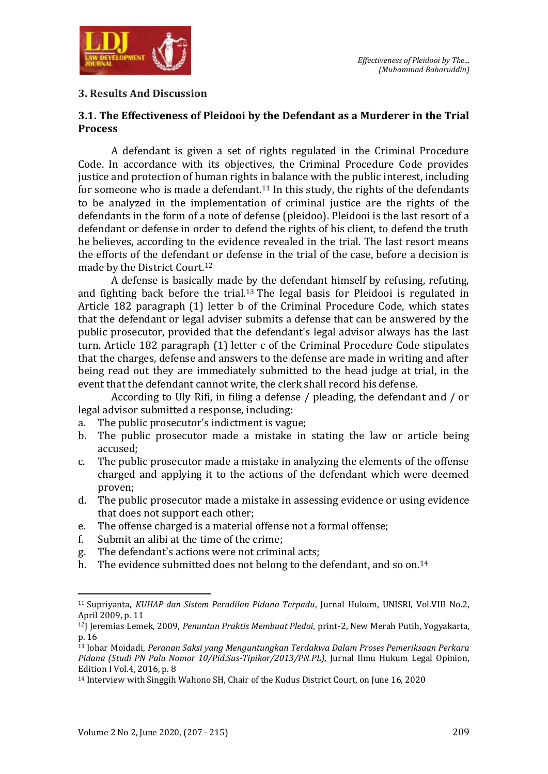

### **3. Results And Discussion**

### **3.1. The Effectiveness of Pleidooi by the Defendant as a Murderer in the Trial Process**

A defendant is given a set of rights regulated in the Criminal Procedure Code. In accordance with its objectives, the Criminal Procedure Code provides justice and protection of human rights in balance with the public interest, including for someone who is made a defendant.<sup>11</sup> In this study, the rights of the defendants to be analyzed in the implementation of criminal justice are the rights of the defendants in the form of a note of defense (pleidoo). Pleidooi is the last resort of a defendant or defense in order to defend the rights of his client, to defend the truth he believes, according to the evidence revealed in the trial. The last resort means the efforts of the defendant or defense in the trial of the case, before a decision is made by the District Court.<sup>12</sup>

A defense is basically made by the defendant himself by refusing, refuting, and fighting back before the trial.<sup>13</sup> The legal basis for Pleidooi is regulated in Article 182 paragraph (1) letter b of the Criminal Procedure Code, which states that the defendant or legal adviser submits a defense that can be answered by the public prosecutor, provided that the defendant's legal advisor always has the last turn. Article 182 paragraph (1) letter c of the Criminal Procedure Code stipulates that the charges, defense and answers to the defense are made in writing and after being read out they are immediately submitted to the head judge at trial, in the event that the defendant cannot write, the clerk shall record his defense.

According to Uly Rifi, in filing a defense / pleading, the defendant and / or legal advisor submitted a response, including:

- a. The public prosecutor's indictment is vague;
- b. The public prosecutor made a mistake in stating the law or article being accused;
- c. The public prosecutor made a mistake in analyzing the elements of the offense charged and applying it to the actions of the defendant which were deemed proven;
- d. The public prosecutor made a mistake in assessing evidence or using evidence that does not support each other;
- e. The offense charged is a material offense not a formal offense;
- f. Submit an alibi at the time of the crime;
- g. The defendant's actions were not criminal acts;
- h. The evidence submitted does not belong to the defendant, and so on.<sup>14</sup>

<sup>11</sup> Supriyanta, *KUHAP dan Sistem Peradilan Pidana Terpadu*, Jurnal Hukum, UNISRI, Vol.VIII No.2, April 2009, p. 11

<sup>12</sup>J Jeremias Lemek, 2009, *Penuntun Praktis Membuat Pledoi*, print-2, New Merah Putih, Yogyakarta, p. 16

<sup>13</sup> Johar Moidadi, *Peranan Saksi yang Menguntungkan Terdakwa Dalam Proses Pemeriksaan Perkara Pidana (Studi PN Palu Nomor 10/Pid.Sus-Tipikor/2013/PN.PL),* Jurnal Ilmu Hukum Legal Opinion, Edition I Vol.4, 2016, p. 8

<sup>14</sup> Interview with Singgih Wahono SH, Chair of the Kudus District Court, on June 16, 2020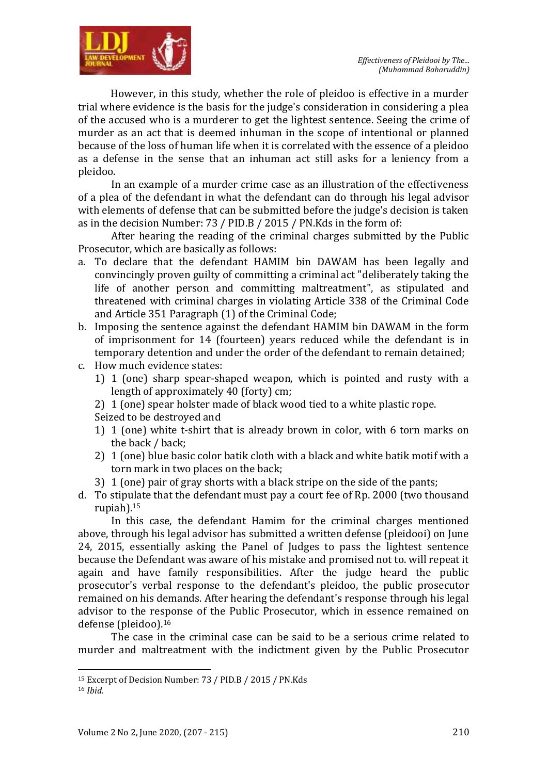



However, in this study, whether the role of pleidoo is effective in a murder trial where evidence is the basis for the judge's consideration in considering a plea of the accused who is a murderer to get the lightest sentence. Seeing the crime of murder as an act that is deemed inhuman in the scope of intentional or planned because of the loss of human life when it is correlated with the essence of a pleidoo as a defense in the sense that an inhuman act still asks for a leniency from a pleidoo.

In an example of a murder crime case as an illustration of the effectiveness of a plea of the defendant in what the defendant can do through his legal advisor with elements of defense that can be submitted before the judge's decision is taken as in the decision Number: 73 / PID.B / 2015 / PN.Kds in the form of:

After hearing the reading of the criminal charges submitted by the Public Prosecutor, which are basically as follows:

- a. To declare that the defendant HAMIM bin DAWAM has been legally and convincingly proven guilty of committing a criminal act "deliberately taking the life of another person and committing maltreatment", as stipulated and threatened with criminal charges in violating Article 338 of the Criminal Code and Article 351 Paragraph (1) of the Criminal Code;
- b. Imposing the sentence against the defendant HAMIM bin DAWAM in the form of imprisonment for 14 (fourteen) years reduced while the defendant is in temporary detention and under the order of the defendant to remain detained;
- c. How much evidence states:
	- 1) 1 (one) sharp spear-shaped weapon, which is pointed and rusty with a length of approximately 40 (forty) cm;
	- 2) 1 (one) spear holster made of black wood tied to a white plastic rope.

Seized to be destroyed and

- 1) 1 (one) white t-shirt that is already brown in color, with 6 torn marks on the back / back;
- 2) 1 (one) blue basic color batik cloth with a black and white batik motif with a torn mark in two places on the back;
- 3) 1 (one) pair of gray shorts with a black stripe on the side of the pants;
- d. To stipulate that the defendant must pay a court fee of Rp. 2000 (two thousand rupiah).<sup>15</sup>

In this case, the defendant Hamim for the criminal charges mentioned above, through his legal advisor has submitted a written defense (pleidooi) on June 24, 2015, essentially asking the Panel of Judges to pass the lightest sentence because the Defendant was aware of his mistake and promised not to. will repeat it again and have family responsibilities. After the judge heard the public prosecutor's verbal response to the defendant's pleidoo, the public prosecutor remained on his demands. After hearing the defendant's response through his legal advisor to the response of the Public Prosecutor, which in essence remained on defense (pleidoo).<sup>16</sup>

The case in the criminal case can be said to be a serious crime related to murder and maltreatment with the indictment given by the Public Prosecutor

<sup>15</sup> Excerpt of Decision Number: 73 / PID.B / 2015 / PN.Kds

<sup>16</sup> *Ibid.*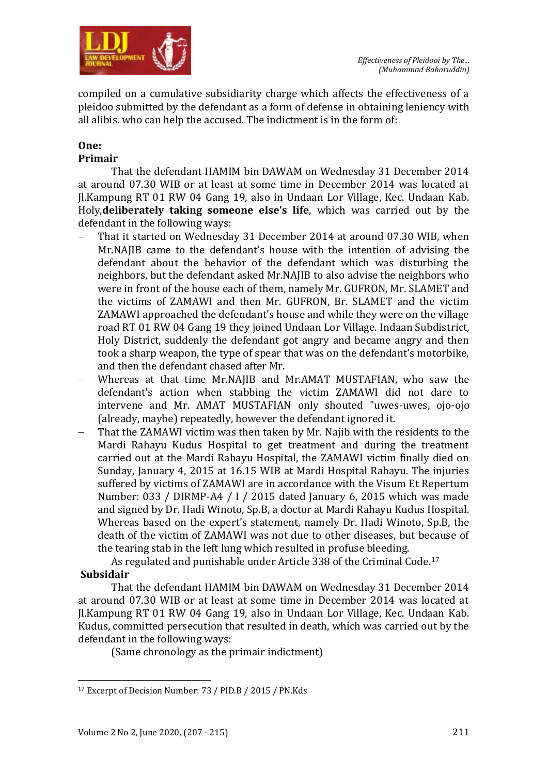

compiled on a cumulative subsidiarity charge which affects the effectiveness of a pleidoo submitted by the defendant as a form of defense in obtaining leniency with all alibis. who can help the accused. The indictment is in the form of:

#### **One: Primair**

# That the defendant HAMIM bin DAWAM on Wednesday 31 December 2014 at around 07.30 WIB or at least at some time in December 2014 was located at Jl.Kampung RT 01 RW 04 Gang 19, also in Undaan Lor Village, Kec. Undaan Kab. Holy,**deliberately taking someone else's life**, which was carried out by the

- defendant in the following ways: That it started on Wednesday 31 December 2014 at around 07.30 WIB, when Mr.NAJIB came to the defendant's house with the intention of advising the defendant about the behavior of the defendant which was disturbing the neighbors, but the defendant asked Mr.NAJIB to also advise the neighbors who were in front of the house each of them, namely Mr. GUFRON, Mr. SLAMET and the victims of ZAMAWI and then Mr. GUFRON, Br. SLAMET and the victim ZAMAWI approached the defendant's house and while they were on the village road RT 01 RW 04 Gang 19 they joined Undaan Lor Village. Indaan Subdistrict, Holy District, suddenly the defendant got angry and became angry and then took a sharp weapon, the type of spear that was on the defendant's motorbike, and then the defendant chased after Mr.
- Whereas at that time Mr.NAJIB and Mr.AMAT MUSTAFIAN, who saw the defendant's action when stabbing the victim ZAMAWI did not dare to intervene and Mr. AMAT MUSTAFIAN only shouted "uwes-uwes, ojo-ojo (already, maybe) repeatedly, however the defendant ignored it.
- That the ZAMAWI victim was then taken by Mr. Najib with the residents to the Mardi Rahayu Kudus Hospital to get treatment and during the treatment carried out at the Mardi Rahayu Hospital, the ZAMAWI victim finally died on Sunday, January 4, 2015 at 16.15 WIB at Mardi Hospital Rahayu. The injuries suffered by victims of ZAMAWI are in accordance with the Visum Et Repertum Number: 033 / DIRMP-A4 / I / 2015 dated January 6, 2015 which was made and signed by Dr. Hadi Winoto, Sp.B, a doctor at Mardi Rahayu Kudus Hospital. Whereas based on the expert's statement, namely Dr. Hadi Winoto, Sp.B, the death of the victim of ZAMAWI was not due to other diseases, but because of the tearing stab in the left lung which resulted in profuse bleeding.

As regulated and punishable under Article 338 of the Criminal Code.<sup>17</sup>

## **Subsidair**

That the defendant HAMIM bin DAWAM on Wednesday 31 December 2014 at around 07.30 WIB or at least at some time in December 2014 was located at Jl.Kampung RT 01 RW 04 Gang 19, also in Undaan Lor Village, Kec. Undaan Kab. Kudus, committed persecution that resulted in death, which was carried out by the defendant in the following ways:

(Same chronology as the primair indictment)

 $\overline{a}$ <sup>17</sup> Excerpt of Decision Number: 73 / PID.B / 2015 / PN.Kds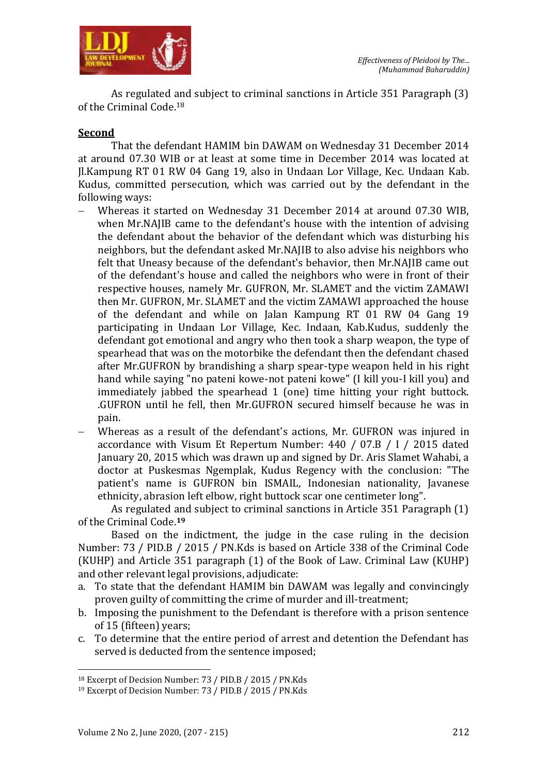

As regulated and subject to criminal sanctions in Article 351 Paragraph (3) of the Criminal Code.<sup>18</sup>

### **Second**

That the defendant HAMIM bin DAWAM on Wednesday 31 December 2014 at around 07.30 WIB or at least at some time in December 2014 was located at Jl.Kampung RT 01 RW 04 Gang 19, also in Undaan Lor Village, Kec. Undaan Kab. Kudus, committed persecution, which was carried out by the defendant in the following ways:

- Whereas it started on Wednesday 31 December 2014 at around 07.30 WIB, when Mr.NAJIB came to the defendant's house with the intention of advising the defendant about the behavior of the defendant which was disturbing his neighbors, but the defendant asked Mr.NAJIB to also advise his neighbors who felt that Uneasy because of the defendant's behavior, then Mr.NAJIB came out of the defendant's house and called the neighbors who were in front of their respective houses, namely Mr. GUFRON, Mr. SLAMET and the victim ZAMAWI then Mr. GUFRON, Mr. SLAMET and the victim ZAMAWI approached the house of the defendant and while on Jalan Kampung RT 01 RW 04 Gang 19 participating in Undaan Lor Village, Kec. Indaan, Kab.Kudus, suddenly the defendant got emotional and angry who then took a sharp weapon, the type of spearhead that was on the motorbike the defendant then the defendant chased after Mr.GUFRON by brandishing a sharp spear-type weapon held in his right hand while saying "no pateni kowe-not pateni kowe" (I kill you-I kill you) and immediately jabbed the spearhead 1 (one) time hitting your right buttock. .GUFRON until he fell, then Mr.GUFRON secured himself because he was in pain.
- Whereas as a result of the defendant's actions, Mr. GUFRON was injured in accordance with Visum Et Repertum Number: 440 / 07.B / I / 2015 dated January 20, 2015 which was drawn up and signed by Dr. Aris Slamet Wahabi, a doctor at Puskesmas Ngemplak, Kudus Regency with the conclusion: "The patient's name is GUFRON bin ISMAIL, Indonesian nationality, Javanese ethnicity, abrasion left elbow, right buttock scar one centimeter long".

As regulated and subject to criminal sanctions in Article 351 Paragraph (1) of the Criminal Code.**<sup>19</sup>**

Based on the indictment, the judge in the case ruling in the decision Number: 73 / PID.B / 2015 / PN.Kds is based on Article 338 of the Criminal Code (KUHP) and Article 351 paragraph (1) of the Book of Law. Criminal Law (KUHP) and other relevant legal provisions, adjudicate:

- a. To state that the defendant HAMIM bin DAWAM was legally and convincingly proven guilty of committing the crime of murder and ill-treatment;
- b. Imposing the punishment to the Defendant is therefore with a prison sentence of 15 (fifteen) years;
- c. To determine that the entire period of arrest and detention the Defendant has served is deducted from the sentence imposed;

<sup>18</sup> Excerpt of Decision Number: 73 / PID.B / 2015 / PN.Kds

<sup>19</sup> Excerpt of Decision Number: 73 / PID.B / 2015 / PN.Kds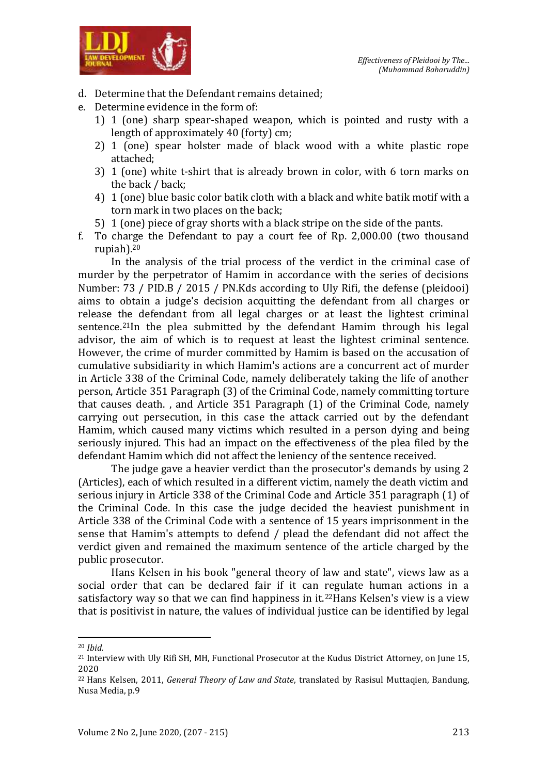

- d. Determine that the Defendant remains detained;
- e. Determine evidence in the form of:
	- 1) 1 (one) sharp spear-shaped weapon, which is pointed and rusty with a length of approximately 40 (forty) cm;
	- 2) 1 (one) spear holster made of black wood with a white plastic rope attached;
	- 3) 1 (one) white t-shirt that is already brown in color, with 6 torn marks on the back / back;
	- 4) 1 (one) blue basic color batik cloth with a black and white batik motif with a torn mark in two places on the back;
	- 5) 1 (one) piece of gray shorts with a black stripe on the side of the pants.
- f. To charge the Defendant to pay a court fee of Rp. 2,000.00 (two thousand rupiah).<sup>20</sup>

In the analysis of the trial process of the verdict in the criminal case of murder by the perpetrator of Hamim in accordance with the series of decisions Number: 73 / PID.B / 2015 / PN.Kds according to Uly Rifi, the defense (pleidooi) aims to obtain a judge's decision acquitting the defendant from all charges or release the defendant from all legal charges or at least the lightest criminal sentence.<sup>21</sup>In the plea submitted by the defendant Hamim through his legal advisor, the aim of which is to request at least the lightest criminal sentence. However, the crime of murder committed by Hamim is based on the accusation of cumulative subsidiarity in which Hamim's actions are a concurrent act of murder in Article 338 of the Criminal Code, namely deliberately taking the life of another person, Article 351 Paragraph (3) of the Criminal Code, namely committing torture that causes death. , and Article 351 Paragraph (1) of the Criminal Code, namely carrying out persecution, in this case the attack carried out by the defendant Hamim, which caused many victims which resulted in a person dying and being seriously injured. This had an impact on the effectiveness of the plea filed by the defendant Hamim which did not affect the leniency of the sentence received.

The judge gave a heavier verdict than the prosecutor's demands by using 2 (Articles), each of which resulted in a different victim, namely the death victim and serious injury in Article 338 of the Criminal Code and Article 351 paragraph (1) of the Criminal Code. In this case the judge decided the heaviest punishment in Article 338 of the Criminal Code with a sentence of 15 years imprisonment in the sense that Hamim's attempts to defend / plead the defendant did not affect the verdict given and remained the maximum sentence of the article charged by the public prosecutor.

Hans Kelsen in his book "general theory of law and state", views law as a social order that can be declared fair if it can regulate human actions in a satisfactory way so that we can find happiness in  $it.^{22}$ Hans Kelsen's view is a view that is positivist in nature, the values of individual justice can be identified by legal

<sup>20</sup> *Ibid.*

<sup>&</sup>lt;sup>21</sup> Interview with Uly Rifi SH, MH, Functional Prosecutor at the Kudus District Attorney, on June 15, 2020

<sup>22</sup> Hans Kelsen, 2011, *General Theory of Law and State*, translated by Rasisul Muttaqien, Bandung, Nusa Media, p.9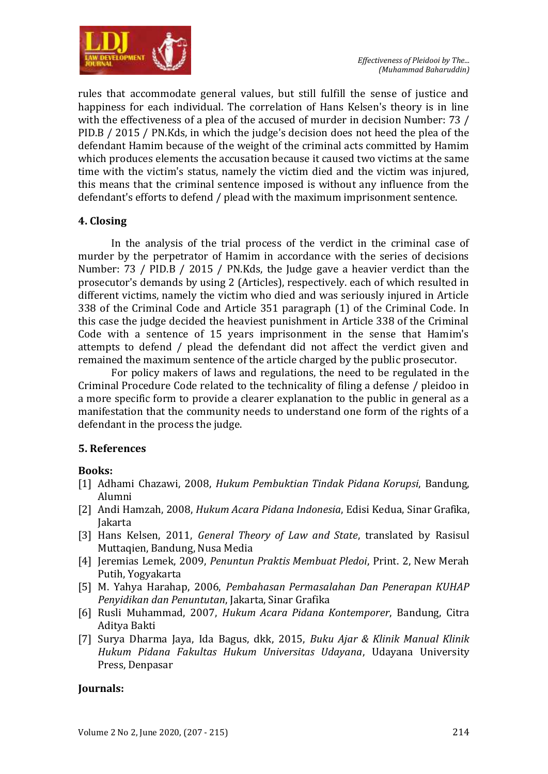

rules that accommodate general values, but still fulfill the sense of justice and happiness for each individual. The correlation of Hans Kelsen's theory is in line with the effectiveness of a plea of the accused of murder in decision Number: 73 / PID.B / 2015 / PN.Kds, in which the judge's decision does not heed the plea of the defendant Hamim because of the weight of the criminal acts committed by Hamim which produces elements the accusation because it caused two victims at the same time with the victim's status, namely the victim died and the victim was injured, this means that the criminal sentence imposed is without any influence from the defendant's efforts to defend / plead with the maximum imprisonment sentence.

### **4. Closing**

In the analysis of the trial process of the verdict in the criminal case of murder by the perpetrator of Hamim in accordance with the series of decisions Number: 73 / PID.B / 2015 / PN.Kds, the Judge gave a heavier verdict than the prosecutor's demands by using 2 (Articles), respectively. each of which resulted in different victims, namely the victim who died and was seriously injured in Article 338 of the Criminal Code and Article 351 paragraph (1) of the Criminal Code. In this case the judge decided the heaviest punishment in Article 338 of the Criminal Code with a sentence of 15 years imprisonment in the sense that Hamim's attempts to defend / plead the defendant did not affect the verdict given and remained the maximum sentence of the article charged by the public prosecutor.

For policy makers of laws and regulations, the need to be regulated in the Criminal Procedure Code related to the technicality of filing a defense / pleidoo in a more specific form to provide a clearer explanation to the public in general as a manifestation that the community needs to understand one form of the rights of a defendant in the process the judge.

### **5. References**

### **Books:**

- [1] Adhami Chazawi, 2008, *Hukum Pembuktian Tindak Pidana Korupsi*, Bandung, Alumni
- [2] Andi Hamzah, 2008, *Hukum Acara Pidana Indonesia*, Edisi Kedua, Sinar Grafika, Jakarta
- [3] Hans Kelsen, 2011, *General Theory of Law and State*, translated by Rasisul Muttaqien, Bandung, Nusa Media
- [4] Jeremias Lemek, 2009, *Penuntun Praktis Membuat Pledoi*, Print. 2, New Merah Putih, Yogyakarta
- [5] M. Yahya Harahap, 2006, *Pembahasan Permasalahan Dan Penerapan KUHAP Penyidikan dan Penuntutan*, Jakarta, Sinar Grafika
- [6] Rusli Muhammad, 2007, *Hukum Acara Pidana Kontemporer*, Bandung, Citra Aditya Bakti
- [7] Surya Dharma Jaya, Ida Bagus, dkk, 2015, *Buku Ajar & Klinik Manual Klinik Hukum Pidana Fakultas Hukum Universitas Udayana*, Udayana University Press, Denpasar

### **Journals:**